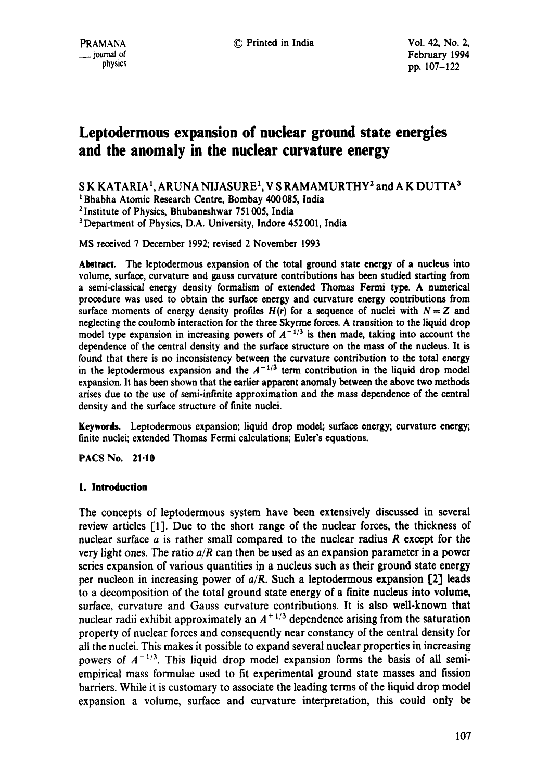# **Leptodermous expansion of nuclear ground state energies and the anomaly in the nuclear curvature energy**

SK KATARIA<sup>1</sup>, ARUNA NIJASURE<sup>1</sup>, V S RAMAMURTHY<sup>2</sup> and A K DUTTA<sup>3</sup>

<sup>1</sup> Bhabha Atomic Research Centre, Bombay 400085, India

2 Institute of Physics, Bhubaneshwar 751005, India

<sup>3</sup>Department of Physics, D.A. University, Indore 452001, India

MS received 7 December 1992; revised 2 November 1993

**Abstract.** The leptodermous expansion of the total ground state energy of a nucleus into volume, surface, curvature and gauss curvature contributions has been studied starting from a semi-classical energy density formalism of extended Thomas Fermi type. A numerical procedure was used to obtain the surface energy and curvature energy contributions from surface moments of energy density profiles  $H(r)$  for a sequence of nuclei with  $N = Z$  and neglecting the coulomb interaction for the three Skyrme forces. A transition to the liquid drop model type expansion in increasing powers of  $A^{-1/3}$  is then made, taking into account the dependence of the central density and the surface structure on the mass of the nucleus. It is found that there is no inconsistency between the curvature contribution to the total energy in the leptodermous expansion and the  $A^{-1/3}$  term contribution in the liquid drop model expansion. It has been shown that the earlier apparent anomaly between the above two methods arises due to the use of semi-infinite approximation and the mass dependence of the central density and the surface structure of finite nuclei.

**Keywordg** Leptodermous expansion; liquid drop model; surface energy; curvature energy; finite nuclei; extended Thomas Fermi calculations; Euler's equations.

PACS No. 21.10

## **1. Introduction**

The concepts of leptodermous system have been extensively discussed in several review articles [1]. Due to the short range of the nuclear forces, the thickness of nuclear surface a is rather small compared to the nuclear radius R except for the very light ones. The ratio  $a/R$  can then be used as an expansion parameter in a power series expansion of various quantities in a nucleus such as their ground state energy per nucleon in increasing power of *a/R.* Such a leptodermous expansion [2] leads to a decomposition of the total ground state energy of a finite nucleus into volume, surface, curvature and Gauss curvature contributions. It is also well-known that nuclear radii exhibit approximately an  $A^{+1/3}$  dependence arising from the saturation property of nuclear forces and consequently near constancy of the central density for all the nuclei. This makes it possible to expand several nuclear properties in increasing powers of  $A^{-1/3}$ . This liquid drop model expansion forms the basis of all semiempirical mass formulae used to fit experimental ground state masses and fission barriers. While it is customary to associate the leading terms of the liquid drop model expansion a volume, surface and curvature interpretation, this could only be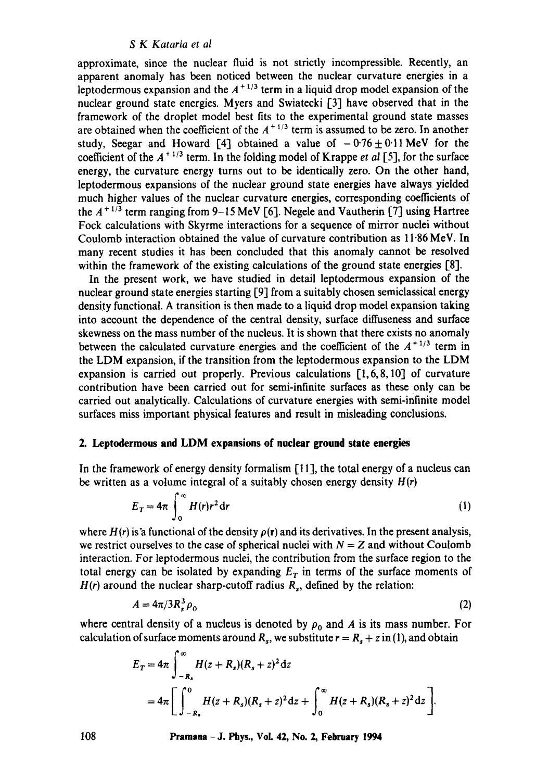approximate, since the nuclear fluid is not strictly incompressible. Recently, an apparent anomaly has been noticed between the nuclear curvature energies in a leptodermous expansion and the  $A^{+1/3}$  term in a liquid drop model expansion of the nuclear ground state energies. Myers and Swiatecki [3] have observed that in the framework of the droplet model best fits to the experimental ground state masses are obtained when the coefficient of the  $A^{+1/3}$  term is assumed to be zero. In another study, Seegar and Howard [4] obtained a value of  $-0.76 \pm 0.11$  MeV for the coefficient of the  $A^{+1/3}$  term. In the folding model of Krappe *et al* [5], for the surface energy, the curvature energy turns out to be identically zero. On the other hand, leptodermous expansions of the nuclear ground state energies have always yielded much higher values of the nuclear curvature energies, corresponding coefficients of the  $A^{+1/3}$  term ranging from 9-15 MeV [6]. Negele and Vautherin [7] using Hartree Fock calculations with Skyrme interactions for a sequence of mirror nuclei without Coulomb interaction obtained the value of curvature contribution as 11-86 MeV. In many recent studies it has been concluded that this anomaly cannot be resolved within the framework of the existing calculations of the ground state energies [8].

In the present work, we have studied in detail leptodermous expansion of the nuclear ground state energies starting [9] from a suitably chosen semiclassical energy density functional. A transition is then made to a liquid drop model expansion taking into account the dependence of the central density, surface diffuseness and surface skewness on the mass number of the nucleus. It is shown that there exists no anomaly between the calculated curvature energies and the coefficient of the  $A^{+1/3}$  term in the LDM expansion, if the transition from the leptodermous expansion to the LDM expansion is carried out properly. Previous calculations [1,6,8, 10] of curvature contribution have been carried out for semi-infinite surfaces as these only can be carried out analytically. Calculations of curvature energies with semi-infinite model surfaces miss important physical features and result in misleading conclusions.

## **2. Leptodermous and LDM expansions of nuclear ground state energies**

In the framework of energy density formalism  $[11]$ , the total energy of a nucleus can be written as a volume integral of a suitably chosen energy density  $H(r)$ 

$$
E_T = 4\pi \int_0^\infty H(r)r^2 dr \tag{1}
$$

where  $H(r)$  is a functional of the density  $\rho(r)$  and its derivatives. In the present analysis, we restrict ourselves to the case of spherical nuclei with  $N = Z$  and without Coulomb interaction. For leptodermous nuclei, the contribution from the surface region to the total energy can be isolated by expanding  $E<sub>T</sub>$  in terms of the surface moments of  $H(r)$  around the nuclear sharp-cutoff radius  $R_s$ , defined by the relation:

$$
A = 4\pi/3R_s^3 \rho_0 \tag{2}
$$

where central density of a nucleus is denoted by  $\rho_0$  and A is its mass number. For calculation of surface moments around  $R_s$ , we substitute  $r = R_s + z$  in (1), and obtain

$$
E_T = 4\pi \int_{-R_s}^{\infty} H(z + R_s)(R_s + z)^2 dz
$$
  
=  $4\pi \left[ \int_{-R_s}^{0} H(z + R_s)(R_s + z)^2 dz + \int_{0}^{\infty} H(z + R_s)(R_s + z)^2 dz \right].$ 

**108 Pramana -J. Phys., Vol. 42, No. 2, February 1994**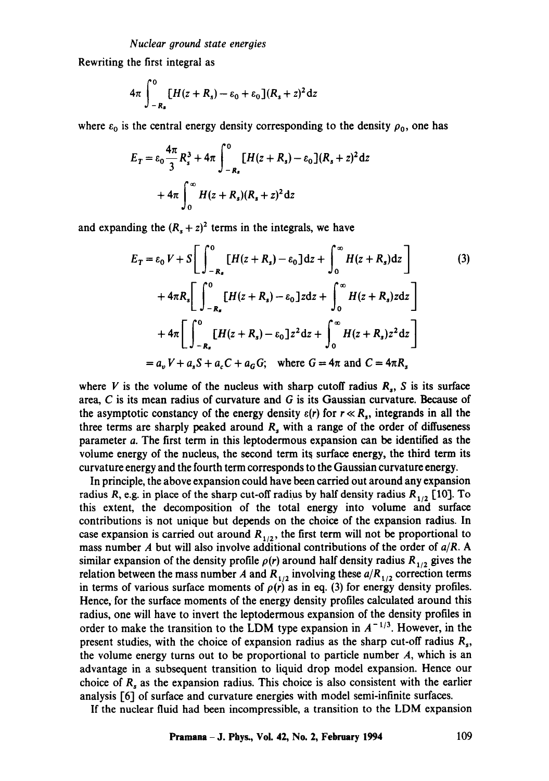Rewriting the first integral as

$$
4\pi \int_{-R_s}^{0} [H(z+R_s) - \varepsilon_0 + \varepsilon_0](R_s + z)^2 dz
$$

where  $\varepsilon_0$  is the central energy density corresponding to the density  $\rho_0$ , one has

$$
E_T = \varepsilon_0 \frac{4\pi}{3} R_s^3 + 4\pi \int_{-R_s}^0 [H(z + R_s) - \varepsilon_0] (R_s + z)^2 dz
$$
  
+ 
$$
4\pi \int_0^\infty H(z + R_s) (R_s + z)^2 dz
$$

and expanding the  $(R_s + z)^2$  terms in the integrals, we have

$$
E_T = \varepsilon_0 V + S \left[ \int_{-R_s}^{0} [H(z + R_s) - \varepsilon_0] dz + \int_{0}^{\infty} H(z + R_s) dz \right]
$$
(3)  
+  $4\pi R_s \left[ \int_{-R_s}^{0} [H(z + R_s) - \varepsilon_0] z dz + \int_{0}^{\infty} H(z + R_s) z dz \right]$   
+  $4\pi \left[ \int_{-R_s}^{0} [H(z + R_s) - \varepsilon_0] z^2 dz + \int_{0}^{\infty} H(z + R_s) z^2 dz \right]$   
=  $a_v V + a_s S + a_c C + a_G G$ ; where  $G = 4\pi$  and  $C = 4\pi R_s$ 

where V is the volume of the nucleus with sharp cutoff radius  $R_s$ , S is its surface area, C is its mean radius of curvature and G is its Gaussian curvature. Because of the asymptotic constancy of the energy density  $\varepsilon(r)$  for  $r \ll R_s$ , integrands in all the three terms are sharply peaked around  $R_s$  with a range of the order of diffuseness parameter a. The first term in this leptodermous expansion can be identified as the volume energy of the nucleus, the second term its surface energy, the third term its curvature energy and the fourth term corresponds to the Gaussian curvature energy.

In principle, the above expansion could have been carried out around any expansion radius R, e.g. in place of the sharp cut-off radius by half density radius  $R_{1/2}$  [10]. To this extent, the decomposition of the total energy into volume and surface contributions is not unique but depends on the choice of the expansion radius. In case expansion is carried out around  $R_{1/2}$ , the first term will not be proportional to mass number A but will also involve additional contributions of the order of *aiR. A*  similar expansion of the density profile  $\rho(r)$  around half density radius  $R_{1/2}$  gives the relation between the mass number A and  $R_{1/2}$  involving these  $a/R_{1/2}$  correction terms in terms of various surface moments of  $\rho(r)$  as in eq. (3) for energy density profiles. Hence, for the surface moments of the energy density profiles calculated around this radius, one will have to invert the leptodermous expansion of the density profiles in order to make the transition to the LDM type expansion in  $A^{-1/3}$ . However, in the present studies, with the choice of expansion radius as the sharp cut-off radius  $R_s$ , the volume energy turns out to be proportional to particle number  $A$ , which is an advantage in a subsequent transition to liquid drop model expansion. Hence our choice of  $R<sub>s</sub>$  as the expansion radius. This choice is also consistent with the earlier analysis [6] of surface and curvature energies with model semi-infinite surfaces.

If the nuclear fluid had been incompressible, a transition to the LDM expansion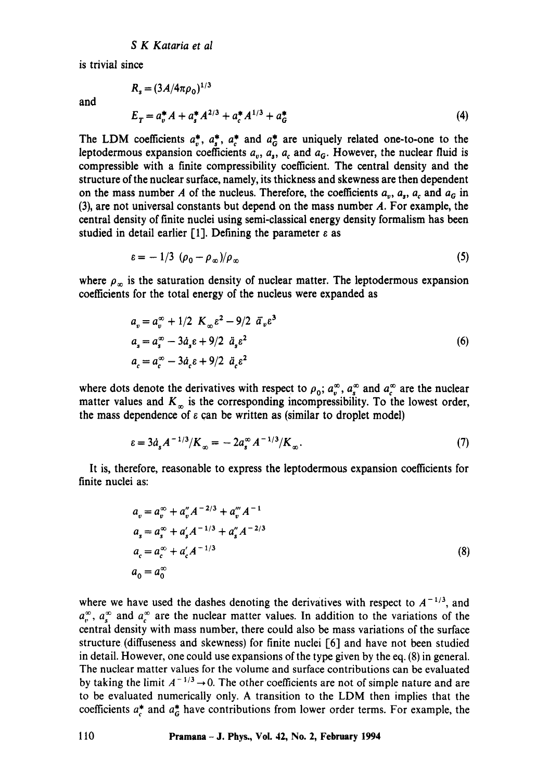$R = (3A/4\pi\rho)^{1/3}$ 

is trivial since

and

$$
E_T = a_v^* A + a_s^* A^{2/3} + a_c^* A^{1/3} + a_G^* \tag{4}
$$

The LDM coefficients  $a^*_{v}$ ,  $a^*_{s}$ ,  $a^*_{c}$  and  $a^*_{G}$  are uniquely related one-to-one to the leptodermous expansion coefficients  $a_{v}$ ,  $a_{s}$ ,  $a_{c}$  and  $a_{c}$ . However, the nuclear fluid is compressible with a finite compressibility coefficient. The central density and the structure of the nuclear surface, namely, its thickness and skewness are then dependent on the mass number A of the nucleus. Therefore, the coefficients  $a_n$ ,  $a_n$ ,  $a_c$  and  $a_c$  in (3), are not universal constants but depend on the mass number A. For example, the central density of finite nuclei using semi-classical energy density formalism has been studied in detail earlier [1]. Defining the parameter  $\varepsilon$  as

$$
\varepsilon = -1/3 \left( \rho_0 - \rho_\infty \right) / \rho_\infty \tag{5}
$$

where  $\rho_{\infty}$  is the saturation density of nuclear matter. The leptodermous expansion coefficients for the total energy of the nucleus were expanded as

$$
a_v = a_v^{\infty} + 1/2 K_{\infty} \varepsilon^2 - 9/2 \tilde{a}_v \varepsilon^3
$$
  
\n
$$
a_s = a_s^{\infty} - 3 \dot{a}_s \varepsilon + 9/2 \tilde{a}_s \varepsilon^2
$$
  
\n
$$
a_c = a_c^{\infty} - 3 \dot{a}_c \varepsilon + 9/2 \tilde{a}_c \varepsilon^2
$$
\n(6)

where dots denote the derivatives with respect to  $\rho_0$ ;  $a_v^{\infty}$ ,  $a_s^{\infty}$  and  $a_c^{\infty}$  are the nuclear matter values and  $K_{\infty}$  is the corresponding incompressibility. To the lowest order, the mass dependence of  $\varepsilon$  can be written as (similar to droplet model)

$$
\varepsilon = 3\dot{a}_s A^{-1/3}/K_\infty = -2a_s^\infty A^{-1/3}/K_\infty. \tag{7}
$$

It is, therefore, reasonable to express the leptodermous expansion coefficients for finite nuclei as:

$$
a_v = a_v^{\infty} + a_v'' A^{-2/3} + a_v'' A^{-1}
$$
  
\n
$$
a_s = a_s^{\infty} + a_s' A^{-1/3} + a_s'' A^{-2/3}
$$
  
\n
$$
a_c = a_c^{\infty} + a_c' A^{-1/3}
$$
  
\n
$$
a_0 = a_0^{\infty}
$$
\n(8)

where we have used the dashes denoting the derivatives with respect to  $A^{-1/3}$ , and  $a_{r}^{\infty}$ ,  $a_{s}^{\infty}$  and  $a_{c}^{\infty}$  are the nuclear matter values. In addition to the variations of the central density with mass number, there could also be mass variations of the surface structure (diffuseness and skewness) for finite nuclei [6] and have not been studied in detail. However, one could use expansions of the type given by the eq. (8) in general. The nuclear matter values for the volume and surface contributions can be evaluated by taking the limit  $A^{-1/3} \rightarrow 0$ . The other coefficients are not of simple nature and are to be evaluated numerically only. A transition to the LDM then implies that the coefficients  $a_c^*$  and  $a_G^*$  have contributions from lower order terms. For example, the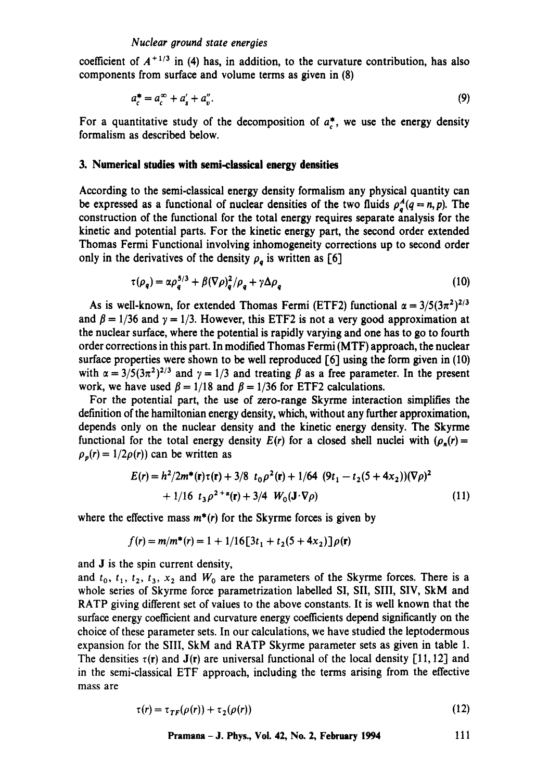coefficient of  $A^{+1/3}$  in (4) has, in addition, to the curvature contribution, has also components from surface and volume terms as given in (8)

$$
a_c^* = a_c^\infty + a_s' + a_v''.
$$
\n<sup>(9)</sup>

For a quantitative study of the decomposition of  $a^*$ , we use the energy density formalism as described below.

## **3. Numerical studies with semi-classical energy densities**

According to the semi-classical energy density formalism any physical quantity can be expressed as a functional of nuclear densities of the two fluids  $\rho_a^A(q = n, p)$ . The construction of the functional for the total energy requires separate analysis for the kinetic and potential parts. For the kinetic energy part, the second order extended Thomas Fermi Functional involving inhomogeneity corrections up to second order only in the derivatives of the density  $\rho_a$  is written as [6]

$$
\tau(\rho_q) = \alpha \rho_q^{5/3} + \beta (\nabla \rho)_q^2 / \rho_q + \gamma \Delta \rho_q \tag{10}
$$

As is well-known, for extended Thomas Fermi (ETF2) functional  $\alpha = 3/5(3\pi^2)^{2/3}$ and  $\beta = 1/36$  and  $\gamma = 1/3$ . However, this ETF2 is not a very good approximation at the nuclear surface, where the potential is rapidly varying and one has to go to fourth order corrections in this part. In modified Thomas Fermi (MTF) approach, the nuclear surface properties were shown to be well reproduced  $[6]$  using the form given in (10) with  $\alpha = 3/5(3\pi^2)^{2/3}$  and  $\gamma = 1/3$  and treating  $\beta$  as a free parameter. In the present work, we have used  $\beta = 1/18$  and  $\beta = 1/36$  for ETF2 calculations.

For the potential part, the use of zero-range Skyrme interaction simplifies the definition of the hamiltonian energy density, which, without any further approximation, depends only on the nuclear density and the kinetic energy density. The Skyrme functional for the total energy density  $E(r)$  for a closed shell nuclei with  $(\rho_n(r))$  $\rho_p(r) = 1/2\rho(r)$  can be written as

$$
E(r) = h^2/2m^*(\mathbf{r})\tau(\mathbf{r}) + 3/8 \ t_0 \rho^2(\mathbf{r}) + 1/64 \ (9t_1 - t_2(5 + 4x_2))(\nabla \rho)^2
$$
  
+ 1/16 \ t\_3 \rho^{2+\alpha}(\mathbf{r}) + 3/4 \ W\_0(\mathbf{J} \cdot \nabla \rho) \qquad (11)

where the effective mass  $m^*(r)$  for the Skyrme forces is given by

$$
f(r) = m/m^*(r) = 1 + 1/16[3t_1 + t_2(5 + 4x_2)]\rho(r)
$$

and J is the spin current density,

and  $t_0$ ,  $t_1$ ,  $t_2$ ,  $t_3$ ,  $x_2$  and  $W_0$  are the parameters of the Skyrme forces. There is a whole series of Skyrme force parametrization labelled SI, SII, SIII, SIV, SkM and RATP giving different set of values to the above constants. It is well known that the surface energy coefficient and curvature energy coefficients depend significantly on the choice of these parameter sets. In our calculations, we have studied the leptodermous expansion for the SIII, SkM and RATP Skyrme parameter sets as given in table 1. The densities  $\tau(r)$  and  $J(r)$  are universal functional of the local density [11, 12] and in the semi-classical ETF approach, including the terms arising from the effective mass are

$$
\tau(r) = \tau_{TF}(\rho(r)) + \tau_2(\rho(r)) \tag{12}
$$

$$
Pramana-J. Phys., Vol. 42, No. 2, February 1994 111
$$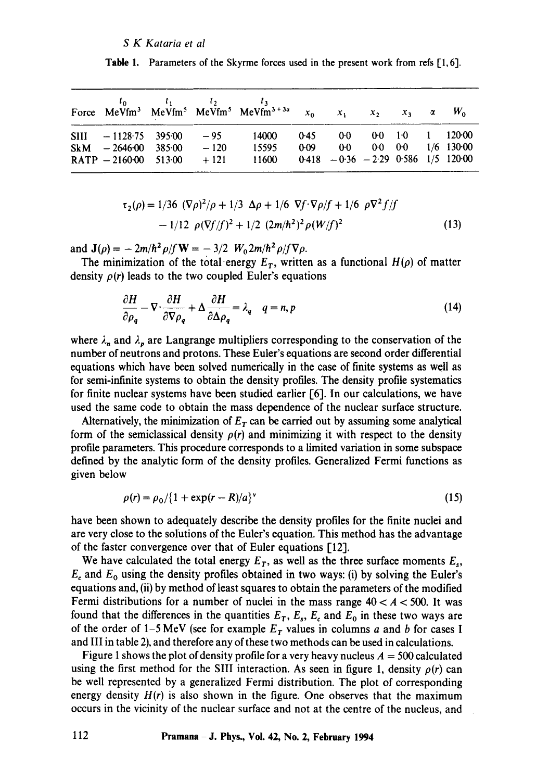|                                                  |        | Force MeVfm <sup>3</sup> MeVfm <sup>5</sup> MeVfm <sup>5</sup> MeVfm <sup>3+3a</sup> $x_0$ $x_1$ $x_2$ $x_3$ $\alpha$ $W_0$ |                                       |  |  |
|--------------------------------------------------|--------|-----------------------------------------------------------------------------------------------------------------------------|---------------------------------------|--|--|
| SIII $-1128.75$ 395.00 $-95$ 14000               |        |                                                                                                                             | $0.45$ $0.0$ $0.0$ $1.0$ $1$ $120.00$ |  |  |
| $SkM = 2646.00$ 385.00<br>$RATP - 2160000051300$ | $-120$ | 15595<br>$+121$ 11600 0418 $-0.36$ $-2.29$ 0.586 1/5 120.00                                                                 | 0.09 0.0 0.0 0.0 1/6 130.00           |  |  |

**Table 1.** Parameters of the Skyrme forces used in the present work from refs  $[1, 6]$ .

$$
\tau_2(\rho) = 1/36 \, (\nabla \rho)^2 / \rho + 1/3 \, \Delta \rho + 1/6 \, \nabla f \cdot \nabla \rho / f + 1/6 \, \rho \nabla^2 f / f
$$
  
- 1/12 \, \rho (\nabla f / f)^2 + 1/2 \, (2m/h^2)^2 \rho (W/f)^2 \qquad (13)

and  $J(\rho) = -2m/\hbar^2 \rho/f W = -3/2 W_0 2m/\hbar^2 \rho/f \nabla \rho$ .

The minimization of the total energy  $E_T$ , written as a functional  $H(\rho)$  of matter density  $\rho(r)$  leads to the two coupled Euler's equations

$$
\frac{\partial H}{\partial \rho_q} - \nabla \cdot \frac{\partial H}{\partial \nabla \rho_q} + \Delta \frac{\partial H}{\partial \Delta \rho_q} = \lambda_q \quad q = n, p \tag{14}
$$

where  $\lambda_n$  and  $\lambda_p$  are Langrange multipliers corresponding to the conservation of the number of neutrons and protons. These Euler's equations are second order differential equations which have been solved numerically in the case of finite systems as well as for semi-infinite systems to obtain the density profiles. The density profile systematics for finite nuclear systems have been studied earlier [6]. in our calculations, we have used the same code to obtain the mass dependence of the nuclear surface structure.

Alternatively, the minimization of  $E<sub>T</sub>$  can be carried out by assuming some analytical form of the semiclassical density  $\rho(r)$  and minimizing it with respect to the density profile parameters. This procedure corresponds to a limited variation in some subspace defined by the analytic form of the density profiles. Generalized Fermi functions as given below

$$
\rho(r) = \rho_0 / \{1 + \exp(r - R)/a\}^{\nu}
$$
\n(15)

have been shown to adequately describe the density profiles for the finite nuclei and are very close to the solutions of the Euler's equation. This method has the advantage of the faster convergence over that of Euler equations [12].

We have calculated the total energy  $E_T$ , as well as the three surface moments  $E_s$ ,  $E_c$  and  $E_0$  using the density profiles obtained in two ways: (i) by solving the Euler's equations and, (ii) by method of least squares to obtain the parameters of the modified Fermi distributions for a number of nuclei in the mass range  $40 < A < 500$ . It was found that the differences in the quantities  $E_T$ ,  $E_s$ ,  $E_c$  and  $E_0$  in these two ways are of the order of 1-5 MeV (see for example  $E_T$  values in columns a and b for cases I and III in table 2), and therefore any of these two methods can be used in calculations.

Figure 1 shows the plot of density profile for a very heavy nucleus  $A = 500$  calculated using the first method for the SIII interaction. As seen in figure 1, density  $\rho(r)$  can be well represented by a generalized Fermi distribution. The plot of corresponding energy density  $H(r)$  is also shown in the figure. One observes that the maximum occurs in the vicinity of the nuclear surface and not at the centre of the nucleus, and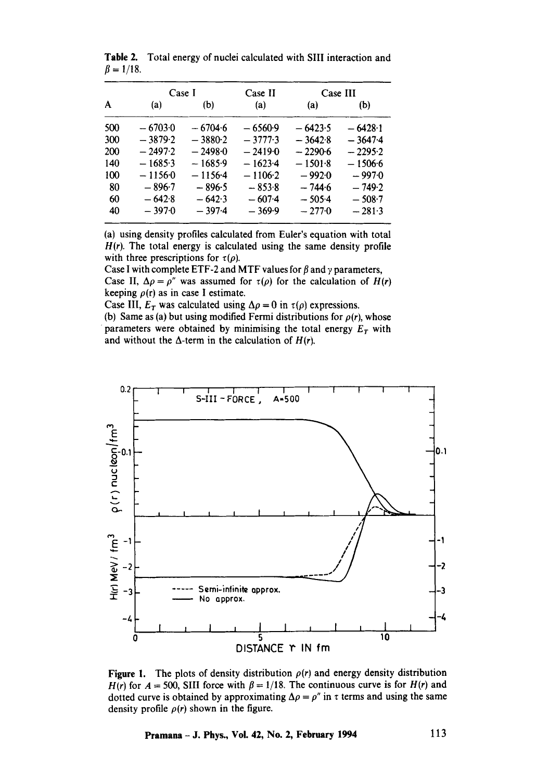|     | Case I    |           | Case II   | Case III  |           |  |
|-----|-----------|-----------|-----------|-----------|-----------|--|
| A   | (a)       | (b)       | (a)       | (a)       | (b)       |  |
| 500 | $-67030$  | $-6704.6$ | $-6560.9$ | $-6423.5$ | $-6428-1$ |  |
| 300 | $-3879.2$ | $-3880-2$ | $-37773$  | $-3642.8$ | $-3647.4$ |  |
| 200 | $-2497.2$ | $-2498.0$ | $-24190$  | $-2290-6$ | $-2295.2$ |  |
| 140 | $-16853$  | $-16859$  | $-1623-4$ | $-1501.8$ | $-1506.6$ |  |
| 100 | $-11560$  | $-1156-4$ | $-1106.2$ | $-9920$   | $-997.0$  |  |
| 80  | $-896-7$  | $-896.5$  | $-853.8$  | $-744.6$  | $-749.2$  |  |
| 60  | $-642.8$  | $-6423$   | $-607-4$  | $-505-4$  | $-508-7$  |  |
| 40  | $-397.0$  | $-3974$   | $-369.9$  | $-2770$   | $-281-3$  |  |

Table 2. Total energy of nuclei calculated with SIII interaction and  $\beta = 1/18$ .

(a) using density profiles calculated from Euler's equation with total  $H(r)$ . The total energy is calculated using the same density profile with three prescriptions for  $\tau(\rho)$ .

Case I with complete ETF-2 and MTF values for  $\beta$  and  $\gamma$  parameters, Case II,  $\Delta \rho = \rho''$  was assumed for  $\tau(\rho)$  for the calculation of *H(r)* keeping  $\rho(r)$  as in case I estimate.

Case III,  $E_T$  was calculated using  $\Delta \rho = 0$  in  $\tau(\rho)$  expressions.

(b) Same as (a) but using modified Fermi distributions for  $\rho(r)$ , whose parameters were obtained by minimising the total energy  $E_T$  with and without the  $\Delta$ -term in the calculation of  $H(r)$ .



**Figure 1.** The plots of density distribution  $\rho(r)$  and energy density distribution  $H(r)$  for  $A = 500$ , SIII force with  $\beta = 1/18$ . The continuous curve is for  $H(r)$  and dotted curve is obtained by approximating  $\Delta \rho = \rho''$  in  $\tau$  terms and using the same density profile  $\rho(r)$  shown in the figure.

**Pramana- J. Phys., Vol. 42, No. 2, February 1994 113**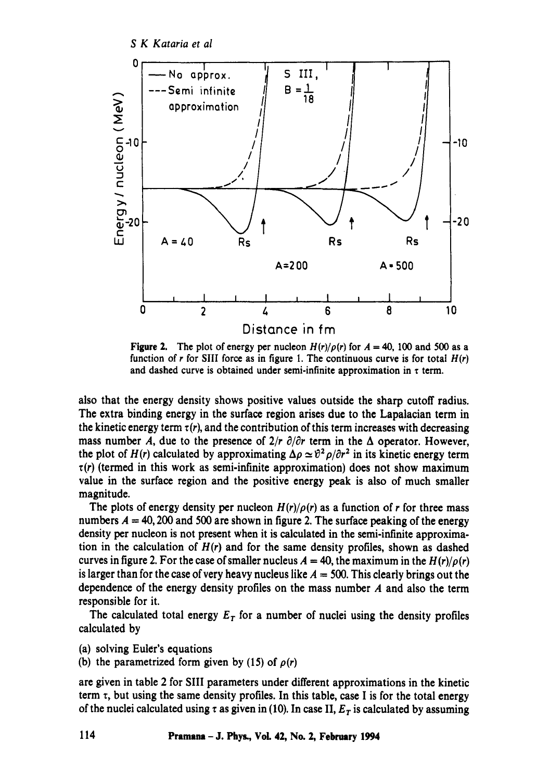*S K Kataria et al* 



Figure 2. The plot of energy per nucleon  $H(r)/\rho(r)$  for  $A = 40$ , 100 and 500 as a function of r for SIII force as in figure 1. The continuous curve is for total  $H(r)$ and dashed curve is obtained under semi-infinite approximation in  $\tau$  term.

also that the energy density shows positive values outside the sharp cutoff radius. The extra binding energy in the surface region arises due to the Lapalacian term in the kinetic energy term  $\tau(r)$ , and the contribution of this term increases with decreasing mass number A, due to the presence of  $2/r \partial \theta r$  term in the  $\Delta$  operator. However, the plot of  $H(r)$  calculated by approximating  $\Delta \rho \simeq \theta^2 \rho / \partial r^2$  in its kinetic energy term  $\tau(r)$  (termed in this work as semi-infinite approximation) does not show maximum value in the surface region and the positive energy peak is also of much smaller magnitude.

The plots of energy density per nucleon  $H(r)/\rho(r)$  as a function of r for three mass numbers  $A = 40,200$  and 500 are shown in figure 2. The surface peaking of the energy density per nucleon is not present when it is calculated in the semi-infinite approximation in the calculation of *H(r)* and for the same density profiles, shown as dashed curves in figure 2. For the case of smaller nucleus  $A = 40$ , the maximum in the  $H(r)/\rho(r)$ is larger than for the case of very heavy nucleus like  $A = 500$ . This clearly brings out the dependence of the energy density profiles on the mass number A and also the term responsible for it.

The calculated total energy  $E_T$  for a number of nuclei using the density profiles calculated by

(a) solving Euler's equations

(b) the parametrized form given by (15) of  $\rho(r)$ 

are given in table 2 for SIII parameters under different approximations in the kinetic term  $\tau$ , but using the same density profiles. In this table, case I is for the total energy of the nuclei calculated using  $\tau$  as given in (10). In case II,  $E<sub>T</sub>$  is calculated by assuming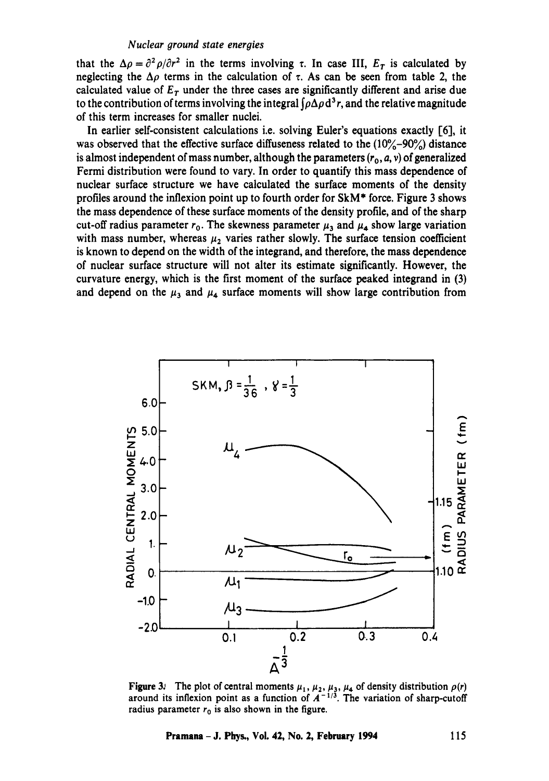that the  $\Delta \rho = \partial^2 \rho / \partial r^2$  in the terms involving  $\tau$ . In case III,  $E_T$  is calculated by neglecting the  $\Delta \rho$  terms in the calculation of  $\tau$ . As can be seen from table 2, the calculated value of  $E_T$  under the three cases are significantly different and arise due to the contribution of terms involving the integral  $\int \rho \Delta \rho d^3 r$ , and the relative magnitude of this term increases for smaller nuclei.

In earlier self-consistent calculations i.e. solving Euler's equations exactly [6], it was observed that the effective surface diffuseness related to the  $(10\% - 90\%)$  distance is almost independent of mass number, although the parameters  $(r_0, a, v)$  of generalized Fermi distribution were found to vary. In order to quantify this mass dependence of nuclear surface structure we have calculated the surface moments of the density profiles around the inflexion point up to fourth order for SkM\* force. Figure 3 shows the mass dependence of these surface moments of the density profile, and of the sharp cut-off radius parameter  $r_0$ . The skewness parameter  $\mu_3$  and  $\mu_4$ , show large variation with mass number, whereas  $\mu_2$  varies rather slowly. The surface tension coefficient is known to depend on the width of the integrand, and therefore, the mass dependence of nuclear surface structure will not alter its estimate significantly. However, the curvature energy, which is the first moment of the surface peaked integrand in (3) and depend on the  $\mu_3$  and  $\mu_4$  surface moments will show large contribution from



**Figure 3:** The plot of central moments  $\mu_1, \mu_2, \mu_3, \mu_4$  of density distribution  $\rho(r)$ around its inflexion point as a function of  $A^{-1/3}$ . The variation of sharp-cutoff radius parameter  $r_0$  is also shown in the figure.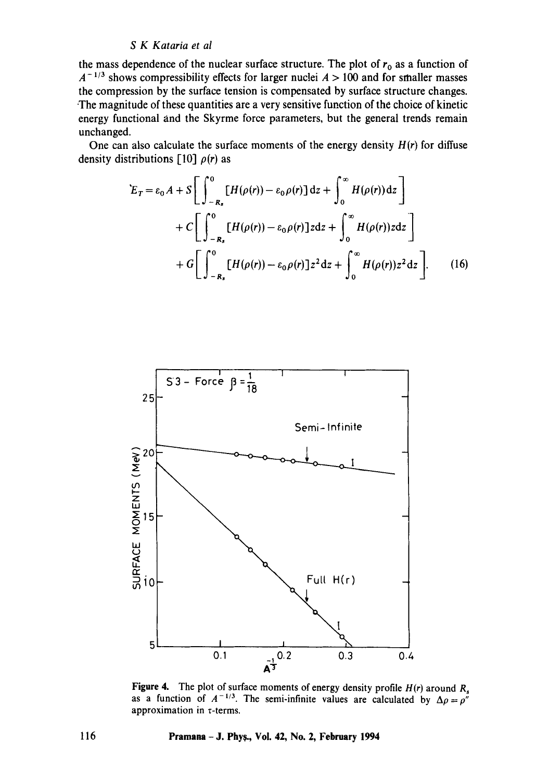the mass dependence of the nuclear surface structure. The plot of  $r_0$  as a function of  $A^{-1/3}$  shows compressibility effects for larger nuclei  $A > 100$  and for smaller masses the compression by the surface tension is compensated by surface structure changes. -The magnitude of these quantities are a very sensitive function of the choice of kinetic energy functional and the Skyrme force parameters, but the general trends remain unchanged.

One can also calculate the surface moments of the energy density  $H(r)$  for diffuse density distributions  $\lceil 10 \rceil$   $\rho(r)$  as

$$
E_T = \varepsilon_0 A + S \left[ \int_{-R_s}^{0} [H(\rho(r)) - \varepsilon_0 \rho(r)] dz + \int_{0}^{\infty} H(\rho(r)) dz \right]
$$
  
+  $C \left[ \int_{-R_s}^{0} [H(\rho(r)) - \varepsilon_0 \rho(r)] z dz + \int_{0}^{\infty} H(\rho(r)) z dz \right]$   
+  $G \left[ \int_{-R_s}^{0} [H(\rho(r)) - \varepsilon_0 \rho(r)] z^2 dz + \int_{0}^{\infty} H(\rho(r)) z^2 dz \right].$  (16)



Figure 4. The plot of surface moments of energy density profile  $H(r)$  around  $R<sub>s</sub>$ as a function of  $A^{-1/3}$ . The semi-infinite values are calculated by  $\Delta \rho = \rho''$ approximation in  $\tau$ -terms.

**116 Pramana- J. Phys., Vol. 42, No. 2, February 1994**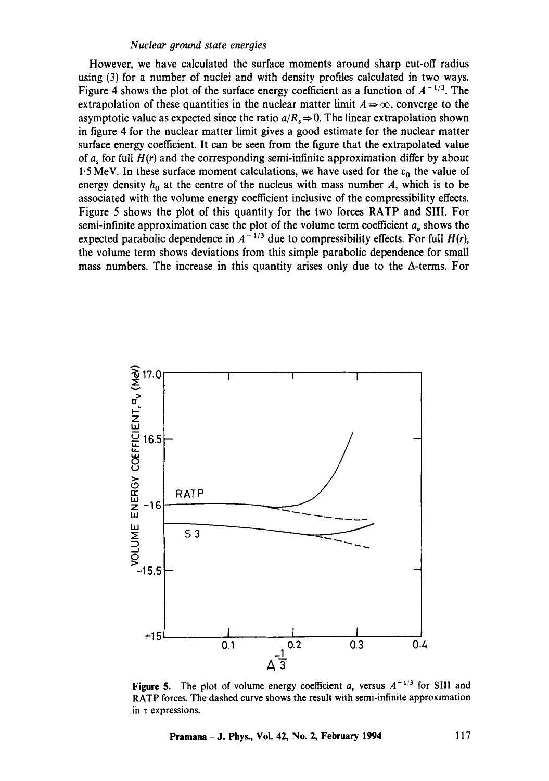However, we have calculated the surface moments around sharp cut-off radius using (3) for a number of nuclei and with density profiles calculated in two ways. Figure 4 shows the plot of the surface energy coefficient as a function of  $A^{-1/3}$ . The extrapolation of these quantities in the nuclear matter limit  $A \Rightarrow \infty$ , converge to the asymptotic value as expected since the ratio  $a/R \Rightarrow 0$ . The linear extrapolation shown in figure 4 for the nuclear matter limit gives a good estimate for the nuclear matter surface energy coefficient. It can be seen from the figure that the extrapolated value of a, for full  $H(r)$  and the corresponding semi-infinite approximation differ by about 1.5 MeV. In these surface moment calculations, we have used for the  $\varepsilon_0$  the value of energy density  $h_0$  at the centre of the nucleus with mass number  $A$ , which is to be associated with the volume energy coefficient inclusive of the compressibility effects. Figure 5 shows the plot of this quantity for the two forces RATP and SIII. For semi-infinite approximation case the plot of the volume term coefficient  $a<sub>v</sub>$  shows the expected parabolic dependence in  $A^{-1/3}$  due to compressibility effects. For full  $H(r)$ , the volume term shows deviations from this simple parabolic dependence for small mass numbers. The increase in this quantity arises only due to the  $\Delta$ -terms. For



**Figure 5.** The plot of volume energy coefficient  $a_v$  versus  $A^{-1/3}$  for SIII and RATP forces. The dashed curve shows the result with semi-infinite approximation in  $\tau$  expressions.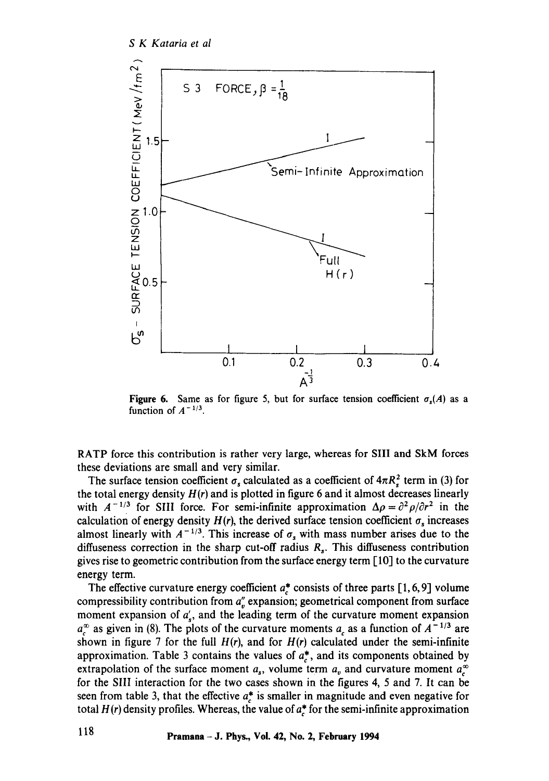

**Figure 6.** Same as for figure 5, but for surface tension coefficient  $\sigma_s(A)$  as a function of  $A^{-1/3}$ .

RATP force this contribution is rather very large, whereas for Sill and SkM forces these deviations are small and very similar.

The surface tension coefficient  $\sigma_s$  calculated as a coefficient of  $4\pi R_s^2$  term in (3) for the total energy density  $H(r)$  and is plotted in figure 6 and it almost decreases linearly with  $A^{-1/3}$  for SIII force. For semi-infinite approximation  $\Delta \rho = \partial^2 \rho/\partial r^2$  in the calculation of energy density  $H(r)$ , the derived surface tension coefficient  $\sigma_s$  increases almost linearly with  $A^{-1/3}$ . This increase of  $\sigma_s$  with mass number arises due to the diffuseness correction in the sharp cut-off radius  $R<sub>s</sub>$ . This diffuseness contribution gives rise to geometric contribution from the surface energy term [ 10] to the curvature energy term.

The effective curvature energy coefficient  $a_c^*$  consists of three parts [1, 6, 9] volume compressibility contribution from  $a_{\nu}^{\prime}$  expansion; geometrical component from surface moment expansion of  $a'_{s}$ , and the leading term of the curvature moment expansion  $a_c^{\infty}$  as given in (8). The plots of the curvature moments  $a_c$  as a function of  $A^{-1/3}$  are shown in figure 7 for the full  $H(r)$ , and for  $H(r)$  calculated under the semi-infinite approximation. Table 3 contains the values of  $a_c^*$ , and its components obtained by extrapolation of the surface moment  $a_s$ , volume term  $a_v$  and curvature moment  $a_c^{\infty}$ for the SIII interaction for the two cases shown in the figures 4, 5 and 7. It can be seen from table 3, that the effective  $a^*$  is smaller in magnitude and even negative for total  $H(r)$  density profiles. Whereas, the value of  $a_r^*$  for the semi-infinite approximation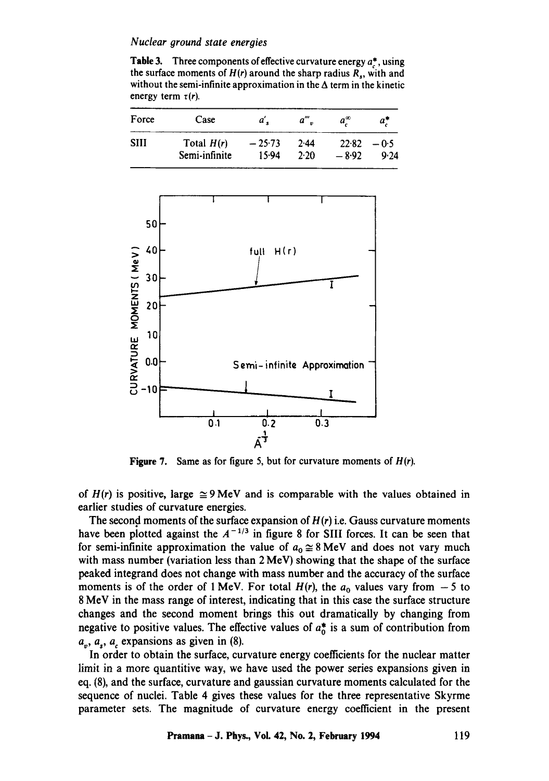**Table** 3. Three components of effective curvature energy a\*, using the surface moments of  $H(r)$  around the sharp radius  $R_s$ , with and without the semi-infinite approximation in the  $\Delta$  term in the kinetic energy term  $\tau(r)$ .

| Force | Case          | a'       | $a^{\prime\prime}$ . | $a^{\infty}$ | a"     |
|-------|---------------|----------|----------------------|--------------|--------|
| SHI   | Total $H(r)$  | $-25.73$ | 2.44                 | 22.82        | $-0.5$ |
|       | Semi-infinite | 15.94    | 2.20                 | $-8.92$      | 9.24   |



**Figure 7.**  Same as for figure 5, but for curvature moments of H(r).

of  $H(r)$  is positive, large  $\cong$  9 MeV and is comparable with the values obtained in earlier studies of curvature energies.

The second moments of the surface expansion of  $H(r)$  i.e. Gauss curvature moments have been plotted against the  $A^{-1/3}$  in figure 8 for SIII forces. It can be seen that for semi-infinite approximation the value of  $a_0 \approx 8 \text{ MeV}$  and does not vary much with mass number (variation less than 2 MeV) showing that the shape of the surface peaked integrand does not change with mass number and the accuracy of the surface moments is of the order of 1 MeV. For total  $H(r)$ , the  $a_0$  values vary from  $-5$  to 8 MeV in the mass range of interest, indicating that in this case the surface structure changes and the second moment brings this out dramatically by changing from negative to positive values. The effective values of  $a_n^*$  is a sum of contribution from  $a_n$ ,  $a_s$ ,  $a_c$  expansions as given in (8).

In order to obtain the surface, curvature energy coefficients for the nuclear matter limit in a more quantitive way, we have used the power series expansions given in eq. (8), and the surface, curvature and gaussian curvature moments calculated for the sequence of nuclei. Table 4 gives these values for the three representative Skyrme parameter sets. The magnitude of curvature energy coefficient in the present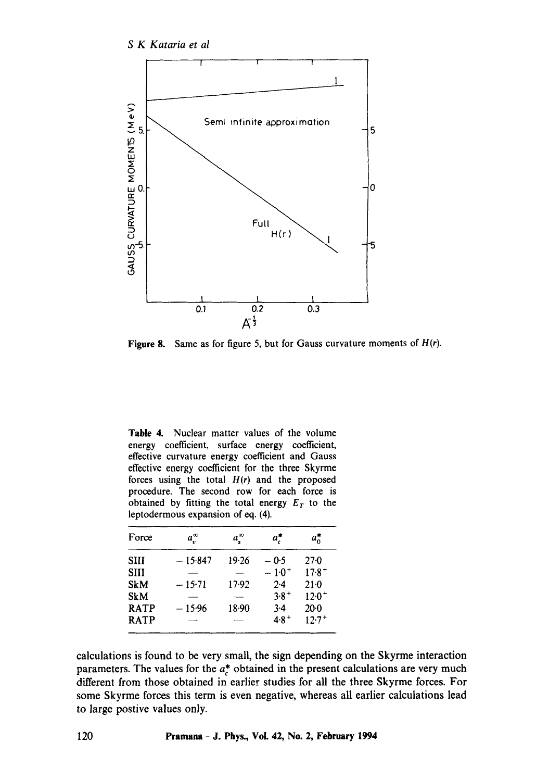

Figure 8. Same as for figure 5, but for Gauss curvature moments of *H(r).* 

**Table** 4. Nuclear matter values of the volume energy coefficient, surface energy coefficient, effective curvature energy coefficient and Gauss effective energy coefficient for the three Skyrme forces using the total *H(r)* and the proposed procedure. The second row for each force is obtained by fitting the total energy  $E_T$  to the leptodermous expansion of eq. (4).

|           | $a_{s}^{\infty}$ | $a_r^*$    | $a_0^*$    |
|-----------|------------------|------------|------------|
| $-15.847$ | 19.26            | $-0.5$     | 270        |
|           |                  | $-1.0^{+}$ | $17.8^{+}$ |
| $-15:71$  | $17-92$          | $2-4$      | $21 - 0$   |
|           |                  | $3.8 +$    | $12.0^{+}$ |
| $-15.96$  | 18.90            | 3.4        | $20 - 0$   |
|           |                  | $4.8^{+}$  | $12.7^{+}$ |
|           | $a_v^{\infty}$   |            |            |

calculations is found to be very small, the sign depending on the Skyrme interaction parameters. The values for the  $a_c^*$  obtained in the present calculations are very much different from those obtained in earlier studies for all the three Skyrme forces. For some Skyrme forces this term is even negative, whereas all earlier calculations lead to large postive values only.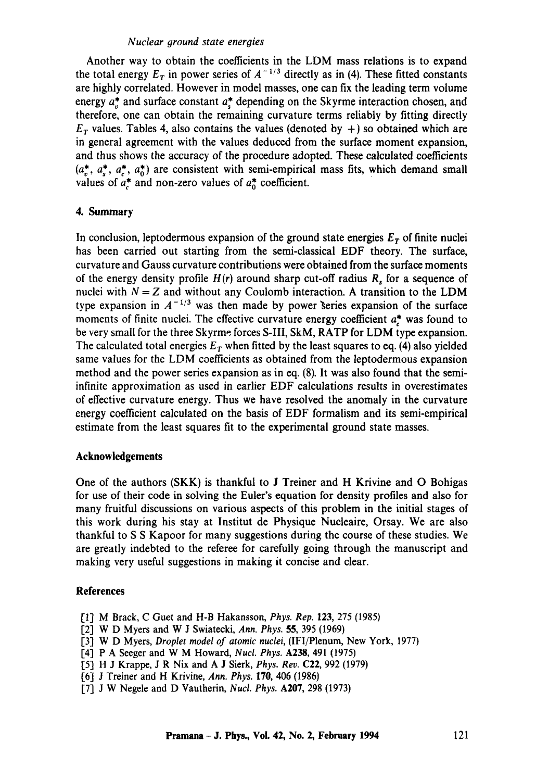Another way to obtain the coefficients in the LDM mass relations is to expand the total energy  $E_T$  in power series of  $A^{-1/3}$  directly as in (4). These fitted constants are highly correlated. However in model masses, one can fix the leading term volume energy  $a_n^*$  and surface constant  $a_n^*$  depending on the Skyrme interaction chosen, and therefore, one can obtain the remaining curvature terms reliably by fitting directly  $E_T$  values. Tables 4, also contains the values (denoted by +) so obtained which are in general agreement with the values deduced from the surface moment expansion, and thus shows the accuracy of the procedure adopted. These calculated coefficients  $(a^*, a^*, a^*, a^*, a^*)$  are consistent with semi-empirical mass fits, which demand small values of  $a^*_{\sigma}$  and non-zero values of  $a^*_{\sigma}$  coefficient.

## 4. **Summary**

In conclusion, leptodermous expansion of the ground state energies  $E<sub>r</sub>$  of finite nuclei has been carried out starting from the semi-classical EDF theory. The surface, curvature and Gauss curvature contributions were obtained from the surface moments of the energy density profile  $H(r)$  around sharp cut-off radius  $R_s$  for a sequence of nuclei with  $N = Z$  and without any Coulomb interaction. A transition to the LDM type expansion in  $A^{-1/3}$  was then made by power series expansion of the surface moments of finite nuclei. The effective curvature energy coefficient  $a^*$  was found to be very small for the three Skyrme forces S-Ill, SkM, RATP for LDM type expansion. The calculated total energies  $E_T$  when fitted by the least squares to eq. (4) also yielded same values for the LDM coefficients as obtained from the leptodermous expansion method and the power series expansion as in eq. (8). It was also found that the semiinfinite approximation as used in earlier EDF calculations results in overestimates of effective curvature energy. Thus we have resolved the anomaly in the curvature energy coefficient calculated on the basis of EDF formalism and its semi-empirical estimate from the least squares fit to the experimental ground state masses.

#### **Acknowledgements**

One of the authors (SKK) is thankful to J Treiner and H Krivine and O Bohigas for use of their code in solving the Euler's equation for density profiles and also for many fruitful discussions on various aspects of this problem in the initial stages of this work during his stay at Institut de Physique Nucleaire, Orsay. We are also thankful to S S Kapoor for many suggestions during the course of these studies. We are greatly indebted to the referee for carefully going through the manuscript and making very useful suggestions in making it concise and clear.

#### **References**

- [1] M Brack, C Guet and H-B Hakansson, *Phys. Rep.* 123, 275 (1985)
- [2] W D Myers and W J Swiatecki, *Ann. Phys.* 55, 395 (1969)
- [3] W D Myers, *Droplet model of atomic nuclei,* (IFI/Plenum, New York, 1977)
- [4] P A Seeger and W M Howard, *Nucl. Phys.* A238, 491 (1975)
- [51 H J Krappe, J R Nix and A J Sierk, *Phys. Rev.* C22, 992 (1979)
- [6-1 J Treiner and H Krivine, *Ann. Phys.* 170, 406 (1986)
- [7] J W Negele and D Vautherin, *Nucl. Phys.* A207, 298 (1973)